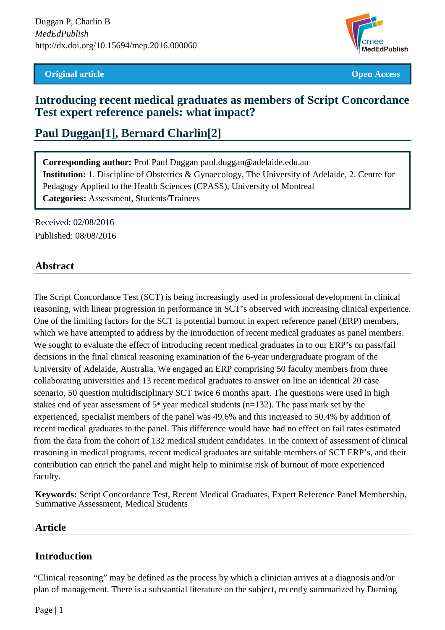#### **Original article Open Access**



## **Introducing recent medical graduates as members of Script Concordance Test expert reference panels: what impact?**

# **Paul Duggan[1], Bernard Charlin[2]**

**Corresponding author:** Prof Paul Duggan paul.duggan@adelaide.edu.au **Institution:** 1. Discipline of Obstetrics & Gynaecology, The University of Adelaide, 2. Centre for Pedagogy Applied to the Health Sciences (CPASS), University of Montreal **Categories:** Assessment, Students/Trainees

Received: 02/08/2016 Published: 08/08/2016

### **Abstract**

The Script Concordance Test (SCT) is being increasingly used in professional development in clinical reasoning, with linear progression in performance in SCT's observed with increasing clinical experience. One of the limiting factors for the SCT is potential burnout in expert reference panel (ERP) members, which we have attempted to address by the introduction of recent medical graduates as panel members. We sought to evaluate the effect of introducing recent medical graduates in to our ERP's on pass/fail decisions in the final clinical reasoning examination of the 6-year undergraduate program of the University of Adelaide, Australia. We engaged an ERP comprising 50 faculty members from three collaborating universities and 13 recent medical graduates to answer on line an identical 20 case scenario, 50 question multidisciplinary SCT twice 6 months apart. The questions were used in high stakes end of year assessment of  $5<sup>th</sup>$  year medical students (n=132). The pass mark set by the experienced, specialist members of the panel was 49.6% and this increased to 50.4% by addition of recent medical graduates to the panel. This difference would have had no effect on fail rates estimated from the data from the cohort of 132 medical student candidates. In the context of assessment of clinical reasoning in medical programs, recent medical graduates are suitable members of SCT ERP's, and their contribution can enrich the panel and might help to minimise risk of burnout of more experienced faculty.

**Keywords:** Script Concordance Test, Recent Medical Graduates, Expert Reference Panel Membership, Summative Assessment, Medical Students

### **Article**

### **Introduction**

"Clinical reasoning" may be defined as the process by which a clinician arrives at a diagnosis and/or plan of management. There is a substantial literature on the subject, recently summarized by Durning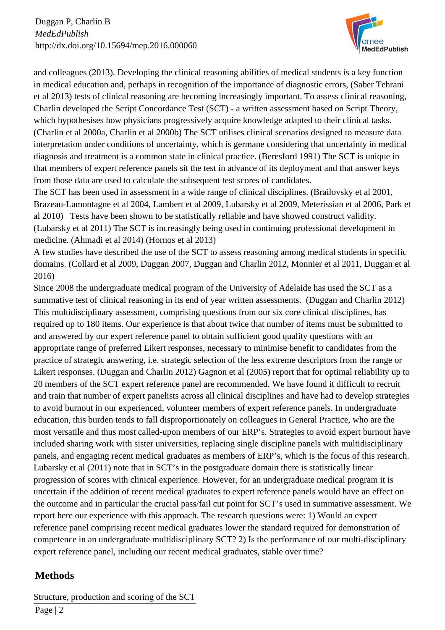

and colleagues (2013). Developing the clinical reasoning abilities of medical students is a key function in medical education and, perhaps in recognition of the importance of diagnostic errors, (Saber Tehrani et al 2013) tests of clinical reasoning are becoming increasingly important. To assess clinical reasoning, Charlin developed the Script Concordance Test (SCT) - a written assessment based on Script Theory, which hypothesises how physicians progressively acquire knowledge adapted to their clinical tasks. (Charlin et al 2000a, Charlin et al 2000b) The SCT utilises clinical scenarios designed to measure data interpretation under conditions of uncertainty, which is germane considering that uncertainty in medical diagnosis and treatment is a common state in clinical practice. (Beresford 1991) The SCT is unique in that members of expert reference panels sit the test in advance of its deployment and that answer keys from those data are used to calculate the subsequent test scores of candidates.

The SCT has been used in assessment in a wide range of clinical disciplines. (Brailovsky et al 2001, Brazeau-Lamontagne et al 2004, Lambert et al 2009, Lubarsky et al 2009, Meterissian et al 2006, Park et al 2010) Tests have been shown to be statistically reliable and have showed construct validity. (Lubarsky et al 2011) The SCT is increasingly being used in continuing professional development in medicine. (Ahmadi et al 2014) (Hornos et al 2013)

A few studies have described the use of the SCT to assess reasoning among medical students in specific domains. (Collard et al 2009, Duggan 2007, Duggan and Charlin 2012, Monnier et al 2011, Duggan et al 2016)

Since 2008 the undergraduate medical program of the University of Adelaide has used the SCT as a summative test of clinical reasoning in its end of year written assessments. (Duggan and Charlin 2012) This multidisciplinary assessment, comprising questions from our six core clinical disciplines, has required up to 180 items. Our experience is that about twice that number of items must be submitted to and answered by our expert reference panel to obtain sufficient good quality questions with an appropriate range of preferred Likert responses, necessary to minimise benefit to candidates from the practice of strategic answering, i.e. strategic selection of the less extreme descriptors from the range or Likert responses. (Duggan and Charlin 2012) Gagnon et al (2005) report that for optimal reliability up to 20 members of the SCT expert reference panel are recommended. We have found it difficult to recruit and train that number of expert panelists across all clinical disciplines and have had to develop strategies to avoid burnout in our experienced, volunteer members of expert reference panels. In undergraduate education, this burden tends to fall disproportionately on colleagues in General Practice, who are the most versatile and thus most called-upon members of our ERP's. Strategies to avoid expert burnout have included sharing work with sister universities, replacing single discipline panels with multidisciplinary panels, and engaging recent medical graduates as members of ERP's, which is the focus of this research. Lubarsky et al (2011) note that in SCT's in the postgraduate domain there is statistically linear progression of scores with clinical experience. However, for an undergraduate medical program it is uncertain if the addition of recent medical graduates to expert reference panels would have an effect on the outcome and in particular the crucial pass/fail cut point for SCT's used in summative assessment. We report here our experience with this approach. The research questions were: 1) Would an expert reference panel comprising recent medical graduates lower the standard required for demonstration of competence in an undergraduate multidisciplinary SCT? 2) Is the performance of our multi-disciplinary expert reference panel, including our recent medical graduates, stable over time?

## **Methods**

Structure, production and scoring of the SCT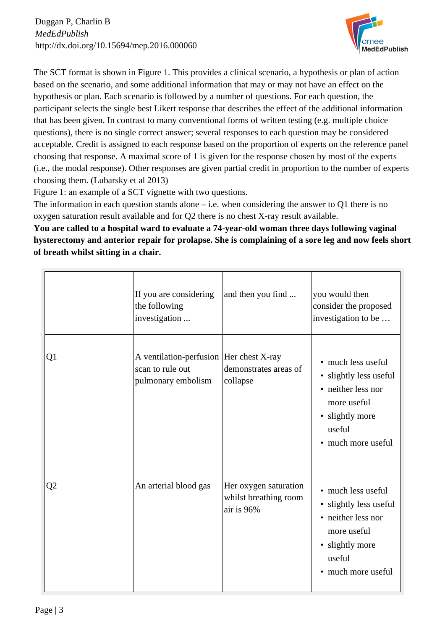

The SCT format is shown in Figure 1. This provides a clinical scenario, a hypothesis or plan of action based on the scenario, and some additional information that may or may not have an effect on the hypothesis or plan. Each scenario is followed by a number of questions. For each question, the participant selects the single best Likert response that describes the effect of the additional information that has been given. In contrast to many conventional forms of written testing (e.g. multiple choice questions), there is no single correct answer; several responses to each question may be considered acceptable. Credit is assigned to each response based on the proportion of experts on the reference panel choosing that response. A maximal score of 1 is given for the response chosen by most of the experts (i.e., the modal response). Other responses are given partial credit in proportion to the number of experts choosing them. (Lubarsky et al 2013)

Figure 1: an example of a SCT vignette with two questions.

The information in each question stands alone – i.e. when considering the answer to Q1 there is no oxygen saturation result available and for Q2 there is no chest X-ray result available.

**You are called to a hospital ward to evaluate a 74-year-old woman three days following vaginal hysterectomy and anterior repair for prolapse. She is complaining of a sore leg and now feels short of breath whilst sitting in a chair.**

|    | If you are considering<br>the following<br>investigation                           | and then you find                                            | you would then<br>consider the proposed<br>investigation to be                                                                                  |
|----|------------------------------------------------------------------------------------|--------------------------------------------------------------|-------------------------------------------------------------------------------------------------------------------------------------------------|
| Q1 | A ventilation-perfusion  Her chest X-ray<br>scan to rule out<br>pulmonary embolism | demonstrates areas of<br>collapse                            | • much less useful<br>· slightly less useful<br>• neither less nor<br>more useful<br>• slightly more<br>useful<br>• much more useful            |
| Q2 | An arterial blood gas                                                              | Her oxygen saturation<br>whilst breathing room<br>air is 96% | • much less useful<br>· slightly less useful<br>neither less nor<br>$\bullet$<br>more useful<br>• slightly more<br>useful<br>• much more useful |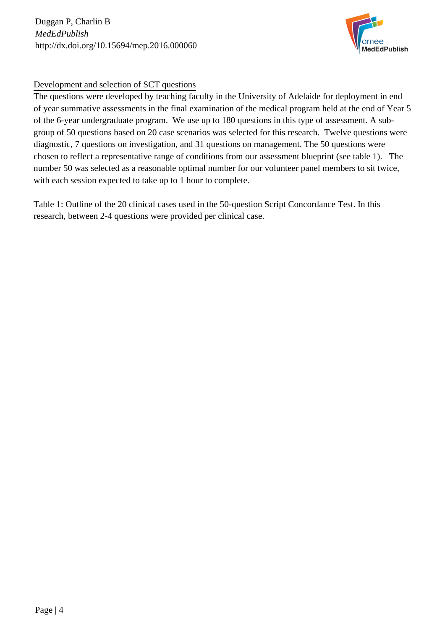Duggan P, Charlin B *MedEdPublish* http://dx.doi.org/10.15694/mep.2016.000060



#### Development and selection of SCT questions

The questions were developed by teaching faculty in the University of Adelaide for deployment in end of year summative assessments in the final examination of the medical program held at the end of Year 5 of the 6-year undergraduate program. We use up to 180 questions in this type of assessment. A subgroup of 50 questions based on 20 case scenarios was selected for this research. Twelve questions were diagnostic, 7 questions on investigation, and 31 questions on management. The 50 questions were chosen to reflect a representative range of conditions from our assessment blueprint (see table 1). The number 50 was selected as a reasonable optimal number for our volunteer panel members to sit twice, with each session expected to take up to 1 hour to complete.

Table 1: Outline of the 20 clinical cases used in the 50-question Script Concordance Test. In this research, between 2-4 questions were provided per clinical case.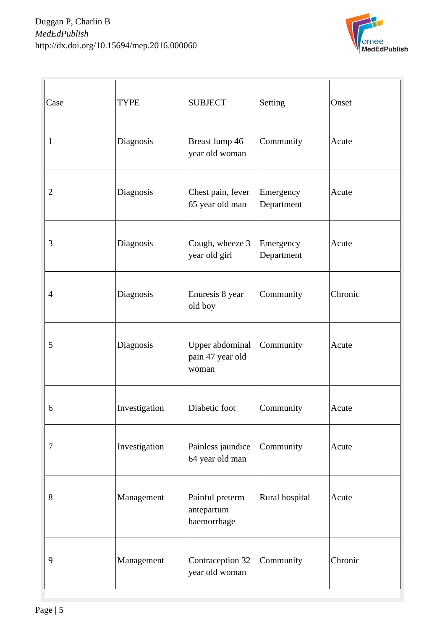

| Case           | <b>TYPE</b>   | <b>SUBJECT</b>                               | Setting                 | Onset   |
|----------------|---------------|----------------------------------------------|-------------------------|---------|
| $\mathbf{1}$   | Diagnosis     | Breast lump 46<br>year old woman             | Community               | Acute   |
| $\overline{2}$ | Diagnosis     | Chest pain, fever<br>65 year old man         | Emergency<br>Department | Acute   |
| 3              | Diagnosis     | Cough, wheeze 3<br>year old girl             | Emergency<br>Department | Acute   |
| $\overline{4}$ | Diagnosis     | Enuresis 8 year<br>old boy                   | Community               | Chronic |
| 5              | Diagnosis     | Upper abdominal<br>pain 47 year old<br>woman | Community               | Acute   |
| 6              | Investigation | Diabetic foot                                | Community               | Acute   |
| 7              | Investigation | Painless jaundice<br>64 year old man         | Community               | Acute   |
| 8              | Management    | Painful preterm<br>antepartum<br>haemorrhage | Rural hospital          | Acute   |
| 9              | Management    | Contraception 32<br>year old woman           | Community               | Chronic |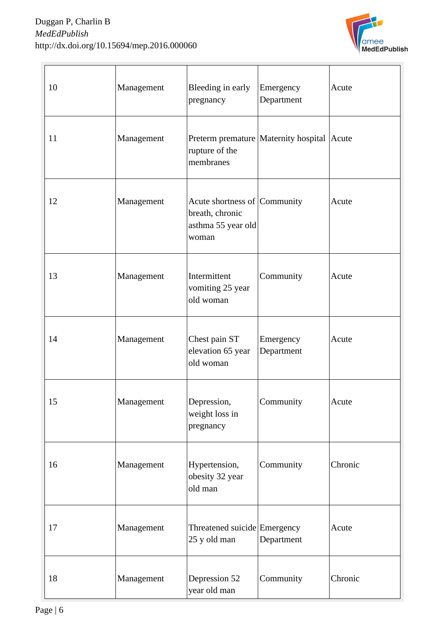

| 10 | Management | Bleeding in early<br>pregnancy                                                 | Emergency<br>Department                    | Acute   |
|----|------------|--------------------------------------------------------------------------------|--------------------------------------------|---------|
| 11 | Management | rupture of the<br>membranes                                                    | Preterm premature Maternity hospital Acute |         |
| 12 | Management | Acute shortness of Community<br>breath, chronic<br>asthma 55 year old<br>woman |                                            | Acute   |
| 13 | Management | Intermittent<br>vomiting 25 year<br>old woman                                  | Community                                  | Acute   |
| 14 | Management | Chest pain ST<br>elevation 65 year<br>old woman                                | Emergency<br>Department                    | Acute   |
| 15 | Management | Depression,<br>weight loss in<br>pregnancy                                     | Community                                  | Acute   |
| 16 | Management | Hypertension,<br>obesity 32 year<br>old man                                    | Community                                  | Chronic |
| 17 | Management | Threatened suicide Emergency<br>25 y old man                                   | Department                                 | Acute   |
| 18 | Management | Depression 52<br>year old man                                                  | Community                                  | Chronic |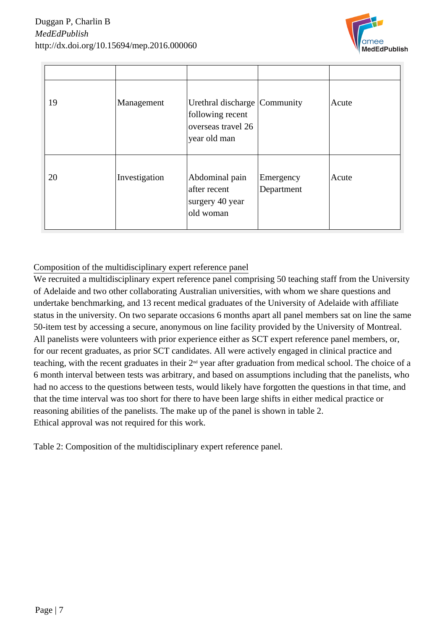

| 19 | Management    | Urethral discharge Community<br>following recent<br>overseas travel 26<br>year old man |                         | Acute |
|----|---------------|----------------------------------------------------------------------------------------|-------------------------|-------|
| 20 | Investigation | Abdominal pain<br>after recent<br>surgery 40 year<br>old woman                         | Emergency<br>Department | Acute |

Composition of the multidisciplinary expert reference panel

We recruited a multidisciplinary expert reference panel comprising 50 teaching staff from the University of Adelaide and two other collaborating Australian universities, with whom we share questions and undertake benchmarking, and 13 recent medical graduates of the University of Adelaide with affiliate status in the university. On two separate occasions 6 months apart all panel members sat on line the same 50-item test by accessing a secure, anonymous on line facility provided by the University of Montreal. All panelists were volunteers with prior experience either as SCT expert reference panel members, or, for our recent graduates, as prior SCT candidates. All were actively engaged in clinical practice and teaching, with the recent graduates in their  $2<sup>nd</sup>$  year after graduation from medical school. The choice of a 6 month interval between tests was arbitrary, and based on assumptions including that the panelists, who had no access to the questions between tests, would likely have forgotten the questions in that time, and that the time interval was too short for there to have been large shifts in either medical practice or reasoning abilities of the panelists. The make up of the panel is shown in table 2. Ethical approval was not required for this work.

Table 2: Composition of the multidisciplinary expert reference panel.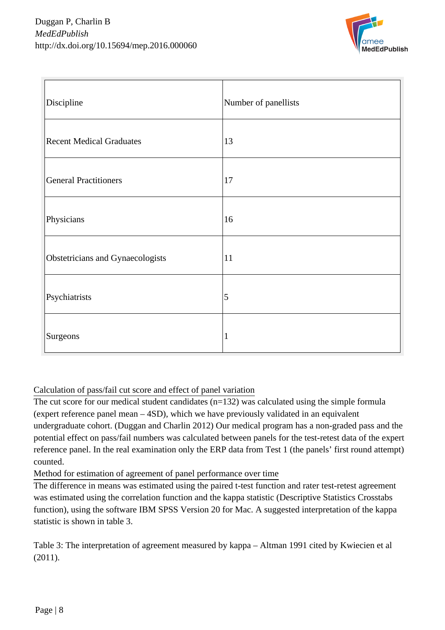

| Discipline                       | Number of panellists |
|----------------------------------|----------------------|
| <b>Recent Medical Graduates</b>  | 13                   |
| <b>General Practitioners</b>     | 17                   |
| Physicians                       | 16                   |
| Obstetricians and Gynaecologists | 11                   |
| Psychiatrists                    | 5                    |
| Surgeons                         | 1                    |

### Calculation of pass/fail cut score and effect of panel variation

The cut score for our medical student candidates  $(n=132)$  was calculated using the simple formula (expert reference panel mean – 4SD), which we have previously validated in an equivalent undergraduate cohort. (Duggan and Charlin 2012) Our medical program has a non-graded pass and the potential effect on pass/fail numbers was calculated between panels for the test-retest data of the expert reference panel. In the real examination only the ERP data from Test 1 (the panels' first round attempt) counted.

Method for estimation of agreement of panel performance over time

The difference in means was estimated using the paired t-test function and rater test-retest agreement was estimated using the correlation function and the kappa statistic (Descriptive Statistics Crosstabs function), using the software IBM SPSS Version 20 for Mac. A suggested interpretation of the kappa statistic is shown in table 3.

Table 3: The interpretation of agreement measured by kappa – Altman 1991 cited by Kwiecien et al (2011).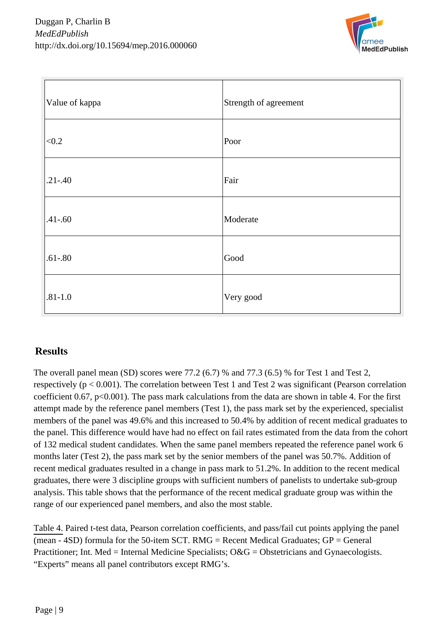

| Value of kappa | Strength of agreement |
|----------------|-----------------------|
| < 0.2          | Poor                  |
| $.21 - .40$    | Fair                  |
| $.41 - .60$    | Moderate              |
| $.61 - .80$    | Good                  |
| $.81 - 1.0$    | Very good             |

## **Results**

The overall panel mean (SD) scores were 77.2 (6.7) % and 77.3 (6.5) % for Test 1 and Test 2, respectively ( $p < 0.001$ ). The correlation between Test 1 and Test 2 was significant (Pearson correlation coefficient 0.67,  $p<0.001$ ). The pass mark calculations from the data are shown in table 4. For the first attempt made by the reference panel members (Test 1), the pass mark set by the experienced, specialist members of the panel was 49.6% and this increased to 50.4% by addition of recent medical graduates to the panel. This difference would have had no effect on fail rates estimated from the data from the cohort of 132 medical student candidates. When the same panel members repeated the reference panel work 6 months later (Test 2), the pass mark set by the senior members of the panel was 50.7%. Addition of recent medical graduates resulted in a change in pass mark to 51.2%. In addition to the recent medical graduates, there were 3 discipline groups with sufficient numbers of panelists to undertake sub-group analysis. This table shows that the performance of the recent medical graduate group was within the range of our experienced panel members, and also the most stable.

Table 4. Paired t-test data, Pearson correlation coefficients, and pass/fail cut points applying the panel (mean  $-$  4SD) formula for the 50-item SCT. RMG = Recent Medical Graduates; GP = General Practitioner; Int. Med = Internal Medicine Specialists; O&G = Obstetricians and Gynaecologists. "Experts" means all panel contributors except RMG's.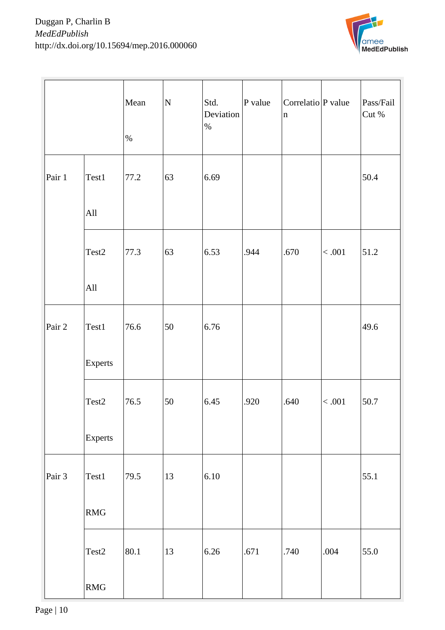

|          |                                  | Mean<br>$\%$ | ${\bf N}$ | Std.<br>Deviation<br>$\%$ | $P$ value | Correlatio P value<br>$\ln$ |         | Pass/Fail<br>Cut % |
|----------|----------------------------------|--------------|-----------|---------------------------|-----------|-----------------------------|---------|--------------------|
| Pair 1   | Test1                            | 77.2         | 63        | 6.69                      |           |                             |         | 50.4               |
|          | All                              |              |           |                           |           |                             |         |                    |
|          | Test2                            | 77.3         | 63        | 6.53                      | .944      | .670                        | $<.001$ | 51.2               |
|          | All                              |              |           |                           |           |                             |         |                    |
| Pair 2   | Test1                            | 76.6         | 50        | 6.76                      |           |                             |         | 49.6               |
|          | Experts                          |              |           |                           |           |                             |         |                    |
|          | Test2                            | 76.5         | 50        | 6.45                      | .920      | .640                        | $<.001$ | 50.7               |
|          | Experts                          |              |           |                           |           |                             |         |                    |
| Pair $3$ | Test1                            | 79.5         | 13        | 6.10                      |           |                             |         | 55.1               |
|          | $\mathbf{R}\mathbf{M}\mathbf{G}$ |              |           |                           |           |                             |         |                    |
|          | Test <sub>2</sub>                | 80.1         | 13        | 6.26                      | .671      | .740                        | .004    | 55.0               |
|          | RMG                              |              |           |                           |           |                             |         |                    |

Page | 10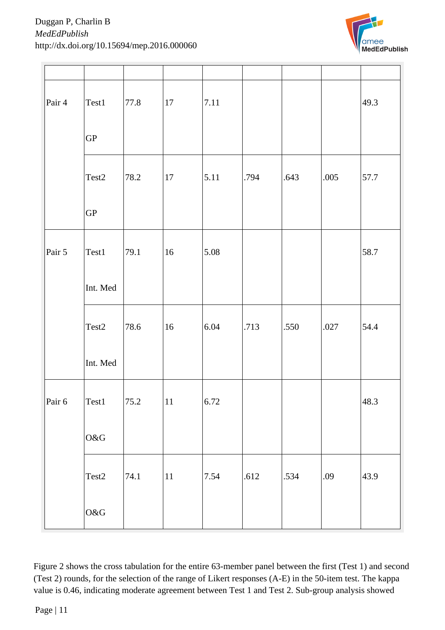

| Pair 4   | Test1                                       | 77.8 | 17         | 7.11 |      |      |      | 49.3 |
|----------|---------------------------------------------|------|------------|------|------|------|------|------|
|          | ${\rm GP}$                                  |      |            |      |      |      |      |      |
|          | Test2                                       | 78.2 | 17         | 5.11 | .794 | .643 | .005 | 57.7 |
|          | ${\rm GP}$                                  |      |            |      |      |      |      |      |
| Pair $5$ | Test1                                       | 79.1 | 16         | 5.08 |      |      |      | 58.7 |
|          | Int. Med                                    |      |            |      |      |      |      |      |
|          | Test2                                       | 78.6 | 16         | 6.04 | .713 | .550 | .027 | 54.4 |
|          | Int. Med                                    |      |            |      |      |      |      |      |
|          | Pair 6 $\left  \text{Test1} \right $   75.2 |      | $\vert$ 11 | 6.72 |      |      |      | 48.3 |
|          | O&G                                         |      |            |      |      |      |      |      |
|          | Test <sub>2</sub>                           | 74.1 | 11         | 7.54 | .612 | .534 | .09  | 43.9 |
|          | $\mathrm{O}\&\mathrm{G}$                    |      |            |      |      |      |      |      |

Figure 2 shows the cross tabulation for the entire 63-member panel between the first (Test 1) and second (Test 2) rounds, for the selection of the range of Likert responses (A-E) in the 50-item test. The kappa value is 0.46, indicating moderate agreement between Test 1 and Test 2. Sub-group analysis showed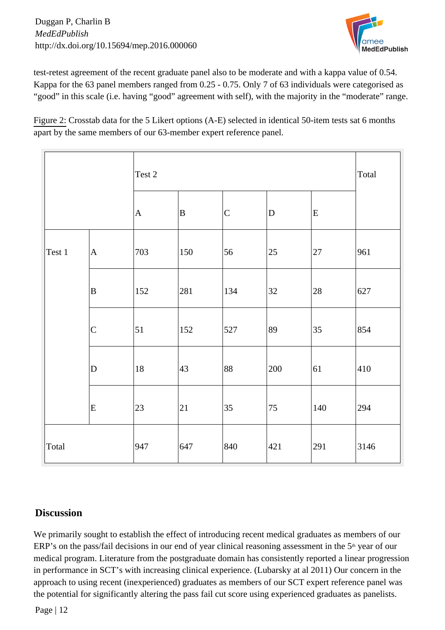

test-retest agreement of the recent graduate panel also to be moderate and with a kappa value of 0.54. Kappa for the 63 panel members ranged from 0.25 - 0.75. Only 7 of 63 individuals were categorised as "good" in this scale (i.e. having "good" agreement with self), with the majority in the "moderate" range.

Figure 2: Crosstab data for the 5 Likert options (A-E) selected in identical 50-item tests sat 6 months apart by the same members of our 63-member expert reference panel.

|        |                | Test 2       | Total |                   |           |     |      |
|--------|----------------|--------------|-------|-------------------|-----------|-----|------|
|        |                | $\mathbf{A}$ | B     | $\overline{C}$    | ${\bf D}$ | E   |      |
| Test 1 | A              | 703          | 150   | 56                | $25\,$    | 27  | 961  |
|        | B              | 152          | 281   | 134               | 32        | 28  | 627  |
|        | $\overline{C}$ | 51           | 152   | $\vert 527 \vert$ | 89        | 35  | 854  |
|        | $\mathbf D$    | 18           | 43    | 88                | 200       | 61  | 410  |
|        | E              | 23           | 21    | $ 35\rangle$      | 75        | 140 | 294  |
| Total  |                | 947          | 647   | 840               | 421       | 291 | 3146 |

## **Discussion**

We primarily sought to establish the effect of introducing recent medical graduates as members of our ERP's on the pass/fail decisions in our end of year clinical reasoning assessment in the 5<sup>th</sup> year of our medical program. Literature from the postgraduate domain has consistently reported a linear progression in performance in SCT's with increasing clinical experience. (Lubarsky at al 2011) Our concern in the approach to using recent (inexperienced) graduates as members of our SCT expert reference panel was the potential for significantly altering the pass fail cut score using experienced graduates as panelists.

Page | 12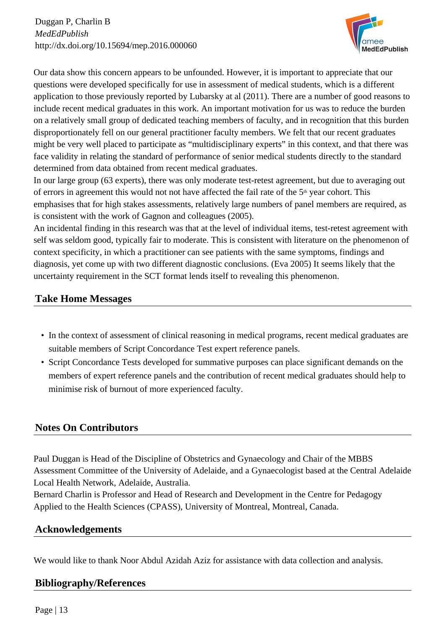Duggan P, Charlin B *MedEdPublish* http://dx.doi.org/10.15694/mep.2016.000060



Our data show this concern appears to be unfounded. However, it is important to appreciate that our questions were developed specifically for use in assessment of medical students, which is a different application to those previously reported by Lubarsky at al (2011). There are a number of good reasons to include recent medical graduates in this work. An important motivation for us was to reduce the burden on a relatively small group of dedicated teaching members of faculty, and in recognition that this burden disproportionately fell on our general practitioner faculty members. We felt that our recent graduates might be very well placed to participate as "multidisciplinary experts" in this context, and that there was face validity in relating the standard of performance of senior medical students directly to the standard determined from data obtained from recent medical graduates.

In our large group (63 experts), there was only moderate test-retest agreement, but due to averaging out of errors in agreement this would not not have affected the fail rate of the  $5<sup>th</sup>$  year cohort. This emphasises that for high stakes assessments, relatively large numbers of panel members are required, as is consistent with the work of Gagnon and colleagues (2005).

An incidental finding in this research was that at the level of individual items, test-retest agreement with self was seldom good, typically fair to moderate. This is consistent with literature on the phenomenon of context specificity, in which a practitioner can see patients with the same symptoms, findings and diagnosis, yet come up with two different diagnostic conclusions. (Eva 2005) It seems likely that the uncertainty requirement in the SCT format lends itself to revealing this phenomenon.

## **Take Home Messages**

- In the context of assessment of clinical reasoning in medical programs, recent medical graduates are suitable members of Script Concordance Test expert reference panels.
- Script Concordance Tests developed for summative purposes can place significant demands on the members of expert reference panels and the contribution of recent medical graduates should help to minimise risk of burnout of more experienced faculty.

## **Notes On Contributors**

Paul Duggan is Head of the Discipline of Obstetrics and Gynaecology and Chair of the MBBS Assessment Committee of the University of Adelaide, and a Gynaecologist based at the Central Adelaide Local Health Network, Adelaide, Australia.

Bernard Charlin is Professor and Head of Research and Development in the Centre for Pedagogy Applied to the Health Sciences (CPASS), University of Montreal, Montreal, Canada.

### **Acknowledgements**

We would like to thank Noor Abdul Azidah Aziz for assistance with data collection and analysis.

## **Bibliography/References**

Page | 13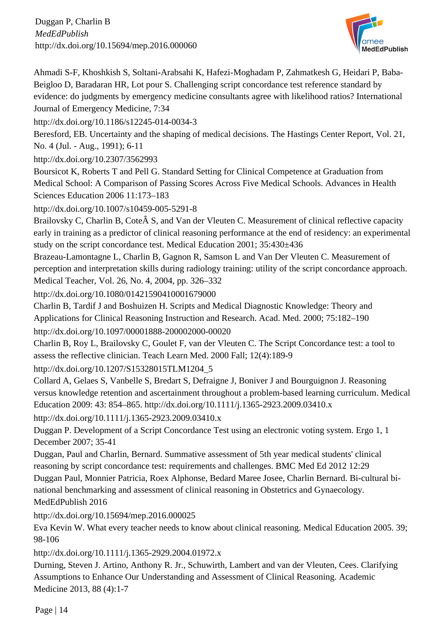

Ahmadi S-F, Khoshkish S, Soltani-Arabsahi K, Hafezi-Moghadam P, Zahmatkesh G, Heidari P, Baba-Beigloo D, Baradaran HR, Lot pour S. Challenging script concordance test reference standard by evidence: do judgments by emergency medicine consultants agree with likelihood ratios? International Journal of Emergency Medicine, 7:34

<http://dx.doi.org/10.1186/s12245-014-0034-3>

Beresford, EB. Uncertainty and the shaping of medical decisions. The Hastings Center Report, Vol. 21, No. 4 (Jul. - Aug., 1991); 6-11

<http://dx.doi.org/10.2307/3562993>

Boursicot K, Roberts T and Pell G. Standard Setting for Clinical Competence at Graduation from Medical School: A Comparison of Passing Scores Across Five Medical Schools. Advances in Health Sciences Education 2006 11:173–183

<http://dx.doi.org/10.1007/s10459-005-5291-8>

Brailovsky C, Charlin B, Cote S, and Van der Vleuten C. Measurement of clinical reflective capacity early in training as a predictor of clinical reasoning performance at the end of residency: an experimental study on the script concordance test. Medical Education 2001; 35:430±436

Brazeau-Lamontagne L, Charlin B, Gagnon R, Samson L and Van Der Vleuten C. Measurement of perception and interpretation skills during radiology training: utility of the script concordance approach. Medical Teacher, Vol. 26, No. 4, 2004, pp. 326–332

<http://dx.doi.org/10.1080/01421590410001679000>

Charlin B, Tardif J and Boshuizen H. Scripts and Medical Diagnostic Knowledge: Theory and Applications for Clinical Reasoning Instruction and Research. Acad. Med. 2000; 75:182–190 <http://dx.doi.org/10.1097/00001888-200002000-00020>

Charlin B, Roy L, Brailovsky C, Goulet F, van der Vleuten C. The Script Concordance test: a tool to assess the reflective clinician. Teach Learn Med. 2000 Fall; 12(4):189-9

[http://dx.doi.org/10.1207/S15328015TLM1204\\_5](http://dx.doi.org/10.1207/S15328015TLM1204_5) 

Collard A, Gelaes S, Vanbelle S, Bredart S, Defraigne J, Boniver J and Bourguignon J. Reasoning versus knowledge retention and ascertainment throughout a problem-based learning curriculum. Medical Education 2009: 43: 854–865. http://dx.doi.org/10.1111/j.1365-2923.2009.03410.x

<http://dx.doi.org/10.1111/j.1365-2923.2009.03410.x>

Duggan P. Development of a Script Concordance Test using an electronic voting system. Ergo 1, 1 December 2007; 35-41

Duggan, Paul and Charlin, Bernard. Summative assessment of 5th year medical students' clinical reasoning by script concordance test: requirements and challenges. BMC Med Ed 2012 12:29

Duggan Paul, Monnier Patricia, Roex Alphonse, Bedard Maree Josee, Charlin Bernard. Bi-cultural binational benchmarking and assessment of clinical reasoning in Obstetrics and Gynaecology. MedEdPublish 2016

<http://dx.doi.org/10.15694/mep.2016.000025>

Eva Kevin W. What every teacher needs to know about clinical reasoning. Medical Education 2005. 39; 98-106

<http://dx.doi.org/10.1111/j.1365-2929.2004.01972.x>

Durning, Steven J. Artino, Anthony R. Jr., Schuwirth, Lambert and van der Vleuten, Cees. Clarifying Assumptions to Enhance Our Understanding and Assessment of Clinical Reasoning. Academic Medicine 2013, 88 (4):1-7